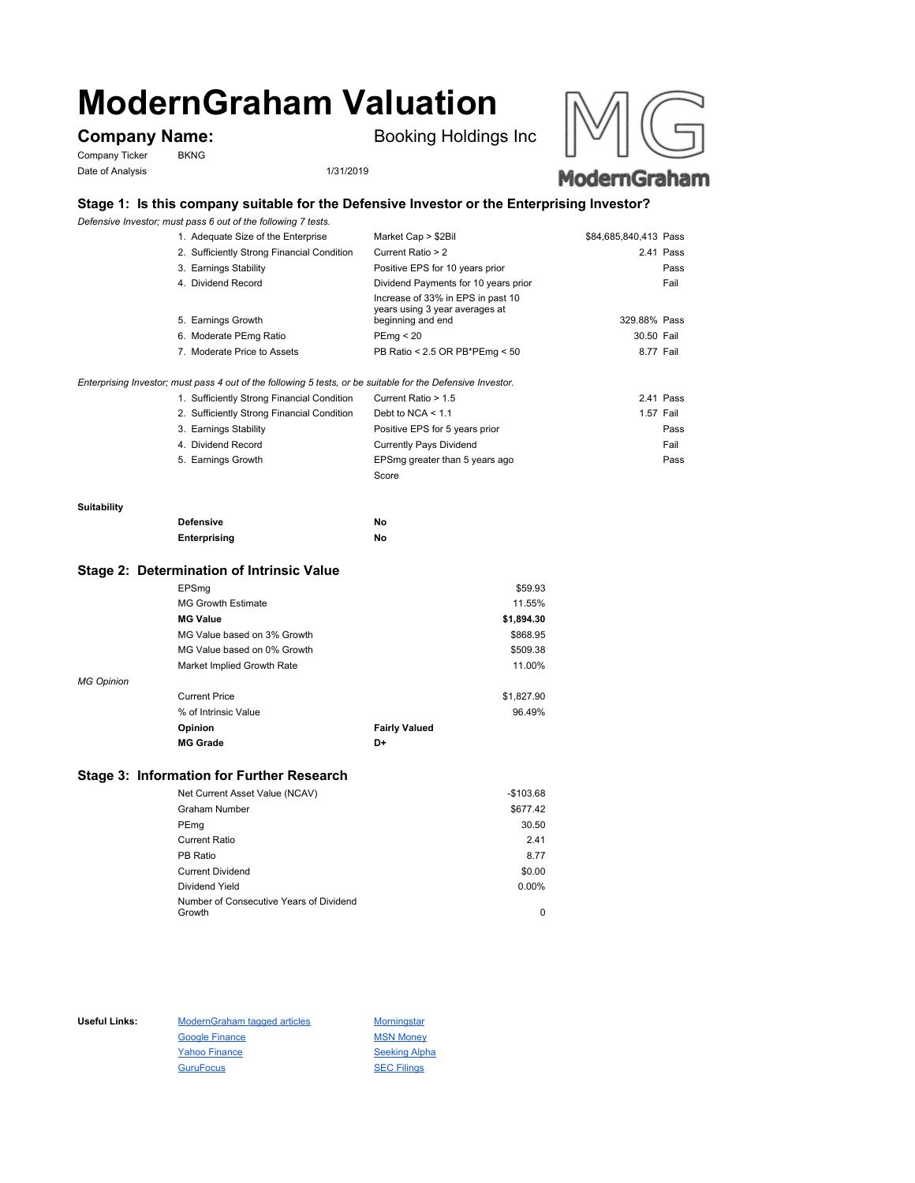# **ModernGraham Valuation**

Company Ticker BKNG Date of Analysis 1/31/2019

**Company Name:** Booking Holdings Inc





# **Stage 1: Is this company suitable for the Defensive Investor or the Enterprising Investor?**

*Defensive Investor; must pass 6 out of the following 7 tests.*

| 1. Adequate Size of the Enterprise         | Market Cap > \$2Bil                                                                      | \$84,685,840,413 Pass |  |
|--------------------------------------------|------------------------------------------------------------------------------------------|-----------------------|--|
| 2. Sufficiently Strong Financial Condition | Current Ratio > 2                                                                        | 2.41 Pass             |  |
| 3. Earnings Stability                      | Positive EPS for 10 years prior                                                          | Pass                  |  |
| 4. Dividend Record                         | Dividend Payments for 10 years prior                                                     | Fail                  |  |
| 5. Earnings Growth                         | Increase of 33% in EPS in past 10<br>years using 3 year averages at<br>beginning and end | 329.88% Pass          |  |
| 6. Moderate PEmg Ratio                     | PEmg < 20                                                                                | 30.50 Fail            |  |
| 7. Moderate Price to Assets                | PB Ratio < 2.5 OR PB*PEmg < 50                                                           | 8.77 Fail             |  |

*Enterprising Investor; must pass 4 out of the following 5 tests, or be suitable for the Defensive Investor.*

| 1. Sufficiently Strong Financial Condition | Current Ratio > 1.5            | 2.41 Pass |
|--------------------------------------------|--------------------------------|-----------|
| 2. Sufficiently Strong Financial Condition | Debt to NCA $<$ 1.1            | 1.57 Fail |
| 3. Earnings Stability                      | Positive EPS for 5 years prior | Pass      |
| 4. Dividend Record                         | <b>Currently Pays Dividend</b> | Fail      |
| 5. Earnings Growth                         | EPSmg greater than 5 years ago | Pass      |
|                                            | Score                          |           |

#### **Suitability**

| <b>Defensive</b> | Νo |
|------------------|----|
| Enterprising     | Νo |

## **Stage 2: Determination of Intrinsic Value**

|                   | EPSma                       |                      | \$59.93    |
|-------------------|-----------------------------|----------------------|------------|
|                   | <b>MG Growth Estimate</b>   |                      | 11.55%     |
|                   | <b>MG Value</b>             |                      | \$1,894.30 |
|                   | MG Value based on 3% Growth |                      | \$868.95   |
|                   | MG Value based on 0% Growth |                      | \$509.38   |
|                   | Market Implied Growth Rate  |                      | 11.00%     |
| <b>MG Opinion</b> |                             |                      |            |
|                   | <b>Current Price</b>        |                      | \$1,827.90 |
|                   | % of Intrinsic Value        |                      | 96.49%     |
|                   | Opinion                     | <b>Fairly Valued</b> |            |
|                   | <b>MG Grade</b>             | D+                   |            |
|                   |                             |                      |            |

# **Stage 3: Information for Further Research**

| Net Current Asset Value (NCAV) |                                         | $-$103.68$ |
|--------------------------------|-----------------------------------------|------------|
| Graham Number                  |                                         | \$677.42   |
| PEmg                           |                                         | 30.50      |
| Current Ratio                  |                                         | 2.41       |
| PB Ratio                       |                                         | 8.77       |
| <b>Current Dividend</b>        |                                         | \$0.00     |
| Dividend Yield                 |                                         | $0.00\%$   |
|                                | Number of Consecutive Years of Dividend |            |
| Growth                         |                                         | 0          |

Useful Links: ModernGraham tagged articles Morningstar Google Finance MSN Money Yahoo Finance Seeking Alpha GuruFocus SEC Filings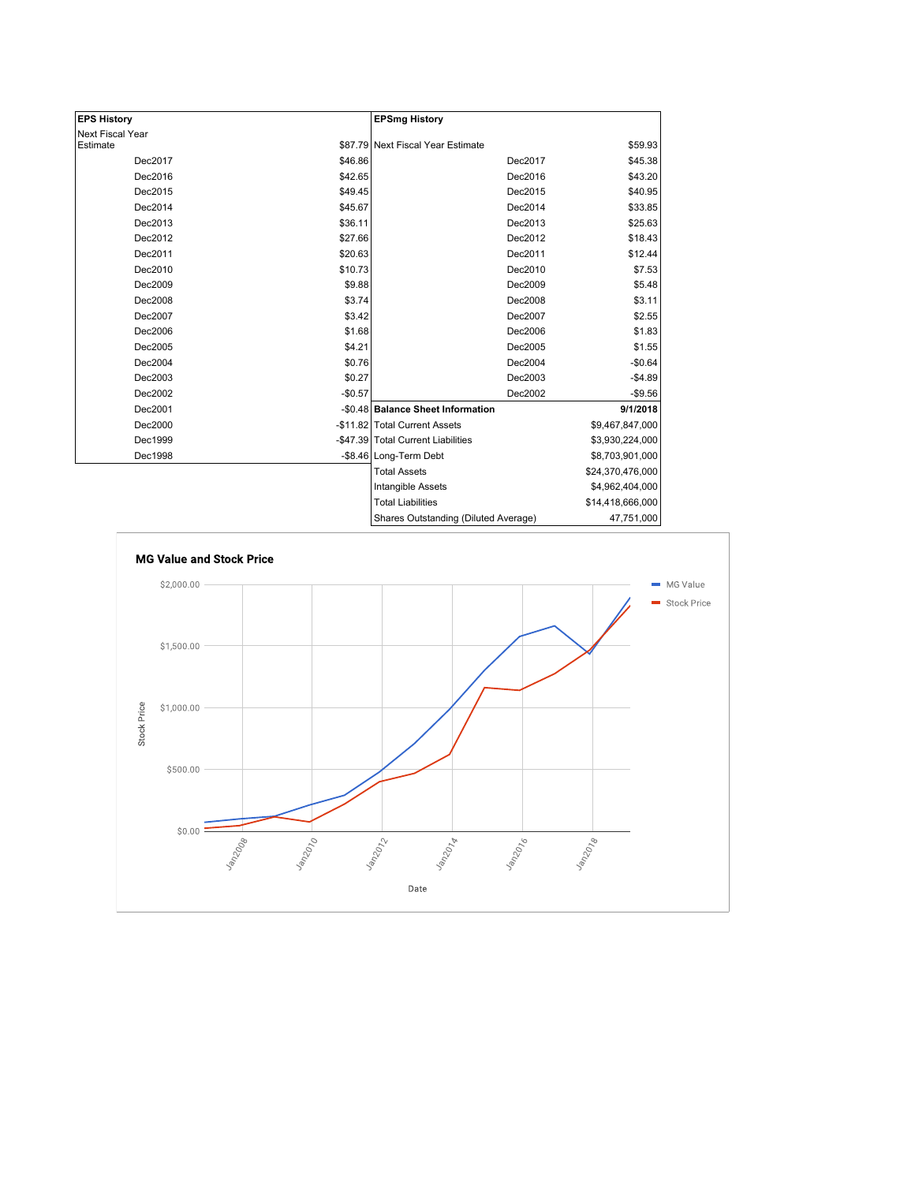| <b>EPS History</b> |          | <b>EPSmg History</b>                 |                  |
|--------------------|----------|--------------------------------------|------------------|
| Next Fiscal Year   |          |                                      |                  |
| Estimate           |          | \$87.79 Next Fiscal Year Estimate    | \$59.93          |
| Dec2017            | \$46.86  | Dec2017                              | \$45.38          |
| Dec2016            | \$42.65  | Dec2016                              | \$43.20          |
| Dec2015            | \$49.45  | Dec2015                              | \$40.95          |
| Dec2014            | \$45.67  | Dec2014                              | \$33.85          |
| Dec2013            | \$36.11  | Dec2013                              | \$25.63          |
| Dec2012            | \$27.66  | Dec2012                              | \$18.43          |
| Dec2011            | \$20.63  | Dec2011                              | \$12.44          |
| Dec2010            | \$10.73  | Dec2010                              | \$7.53           |
| Dec2009            | \$9.88   | Dec2009                              | \$5.48           |
| Dec2008            | \$3.74   | Dec2008                              | \$3.11           |
| Dec2007            | \$3.42   | Dec2007                              | \$2.55           |
| Dec2006            | \$1.68   | Dec2006                              | \$1.83           |
| Dec2005            | \$4.21   | Dec2005                              | \$1.55           |
| Dec2004            | \$0.76   | Dec2004                              | $-$0.64$         |
| Dec2003            | \$0.27   | Dec2003                              | $-$4.89$         |
| Dec2002            | $-$0.57$ | Dec2002                              | $-$9.56$         |
| Dec2001            |          | -\$0.48 Balance Sheet Information    | 9/1/2018         |
| Dec2000            |          | -\$11.82 Total Current Assets        | \$9,467,847,000  |
| Dec1999            |          | -\$47.39 Total Current Liabilities   | \$3,930,224,000  |
| Dec1998            |          | -\$8.46 Long-Term Debt               | \$8,703,901,000  |
|                    |          | <b>Total Assets</b>                  | \$24,370,476,000 |
|                    |          | Intangible Assets                    | \$4,962,404,000  |
|                    |          | <b>Total Liabilities</b>             | \$14,418,666,000 |
|                    |          | Charge Qutetanding (Diluted Average) | 17.751000        |